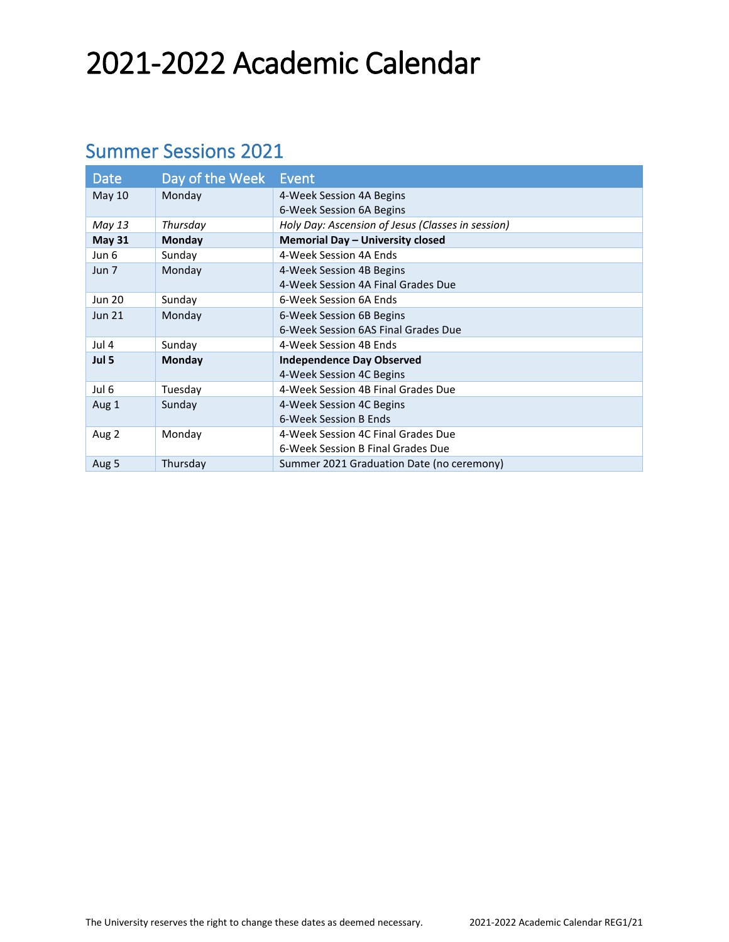# 2021-2022 Academic Calendar

### Summer Sessions 2021

| <b>Date</b>   | Day of the Week | Event                                             |
|---------------|-----------------|---------------------------------------------------|
| <b>May 10</b> | Monday          | 4-Week Session 4A Begins                          |
|               |                 | 6-Week Session 6A Begins                          |
| May 13        | Thursday        | Holy Day: Ascension of Jesus (Classes in session) |
| <b>May 31</b> | Monday          | Memorial Day - University closed                  |
| Jun 6         | Sunday          | 4-Week Session 4A Ends                            |
| Jun 7         | Monday          | 4-Week Session 4B Begins                          |
|               |                 | 4-Week Session 4A Final Grades Due                |
| <b>Jun 20</b> | Sunday          | 6-Week Session 6A Ends                            |
| <b>Jun 21</b> | Monday          | 6-Week Session 6B Begins                          |
|               |                 | 6-Week Session 6AS Final Grades Due               |
| Jul 4         | Sunday          | 4-Week Session 4B Ends                            |
| Jul 5         | Monday          | <b>Independence Day Observed</b>                  |
|               |                 | 4-Week Session 4C Begins                          |
| Jul 6         | Tuesday         | 4-Week Session 4B Final Grades Due                |
| Aug 1         | Sunday          | 4-Week Session 4C Begins                          |
|               |                 | 6-Week Session B Ends                             |
| Aug 2         | Monday          | 4-Week Session 4C Final Grades Due                |
|               |                 | 6-Week Session B Final Grades Due                 |
| Aug 5         | Thursday        | Summer 2021 Graduation Date (no ceremony)         |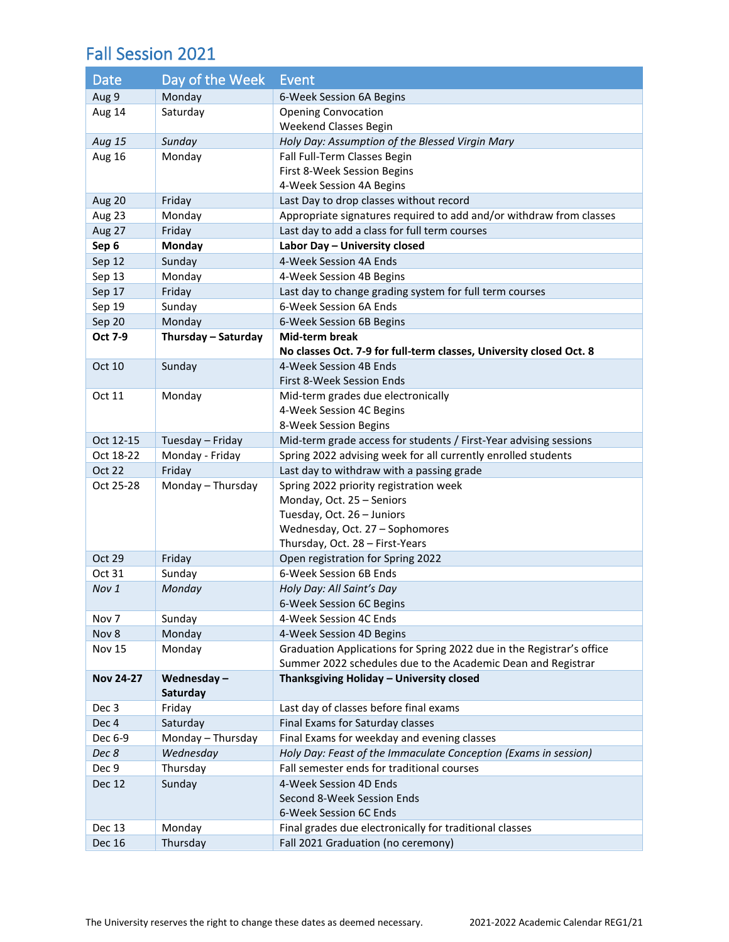#### Fall Session 2021

| Date             | Day of the Week     | Event                                                                 |
|------------------|---------------------|-----------------------------------------------------------------------|
| Aug 9            | Monday              | 6-Week Session 6A Begins                                              |
| Aug 14           | Saturday            | <b>Opening Convocation</b>                                            |
|                  |                     | Weekend Classes Begin                                                 |
| Aug 15           | Sunday              | Holy Day: Assumption of the Blessed Virgin Mary                       |
| Aug 16           | Monday              | Fall Full-Term Classes Begin                                          |
|                  |                     | First 8-Week Session Begins                                           |
|                  |                     | 4-Week Session 4A Begins                                              |
| Aug 20           | Friday              | Last Day to drop classes without record                               |
| Aug 23           | Monday              | Appropriate signatures required to add and/or withdraw from classes   |
| Aug 27           | Friday              | Last day to add a class for full term courses                         |
| Sep 6            | Monday              | Labor Day - University closed                                         |
| Sep 12           | Sunday              | 4-Week Session 4A Ends                                                |
| Sep 13           | Monday              | 4-Week Session 4B Begins                                              |
| Sep 17           | Friday              | Last day to change grading system for full term courses               |
| Sep 19           | Sunday              | 6-Week Session 6A Ends                                                |
| Sep 20           | Monday              | 6-Week Session 6B Begins                                              |
| Oct 7-9          | Thursday - Saturday | Mid-term break                                                        |
|                  |                     | No classes Oct. 7-9 for full-term classes, University closed Oct. 8   |
| Oct 10           | Sunday              | 4-Week Session 4B Ends                                                |
|                  |                     | First 8-Week Session Ends                                             |
| Oct 11           | Monday              | Mid-term grades due electronically                                    |
|                  |                     | 4-Week Session 4C Begins<br>8-Week Session Begins                     |
| Oct 12-15        | Tuesday - Friday    | Mid-term grade access for students / First-Year advising sessions     |
| Oct 18-22        | Monday - Friday     | Spring 2022 advising week for all currently enrolled students         |
| <b>Oct 22</b>    | Friday              | Last day to withdraw with a passing grade                             |
| Oct 25-28        | Monday - Thursday   | Spring 2022 priority registration week                                |
|                  |                     | Monday, Oct. 25 - Seniors                                             |
|                  |                     | Tuesday, Oct. 26 - Juniors                                            |
|                  |                     | Wednesday, Oct. 27 - Sophomores                                       |
|                  |                     | Thursday, Oct. 28 - First-Years                                       |
| <b>Oct 29</b>    | Friday              | Open registration for Spring 2022                                     |
| Oct 31           | Sunday              | 6-Week Session 6B Ends                                                |
| Nov 1            | Monday              | Holy Day: All Saint's Day                                             |
|                  |                     | 6-Week Session 6C Begins                                              |
| Nov <sub>7</sub> | Sunday              | 4-Week Session 4C Ends                                                |
| Nov 8            | Monday              | 4-Week Session 4D Begins                                              |
| <b>Nov 15</b>    | Monday              | Graduation Applications for Spring 2022 due in the Registrar's office |
|                  |                     | Summer 2022 schedules due to the Academic Dean and Registrar          |
| <b>Nov 24-27</b> | Wednesday-          | Thanksgiving Holiday - University closed                              |
|                  | Saturday            |                                                                       |
| Dec 3            | Friday              | Last day of classes before final exams                                |
| Dec 4            | Saturday            | Final Exams for Saturday classes                                      |
| Dec 6-9          | Monday - Thursday   | Final Exams for weekday and evening classes                           |
| Dec 8            | Wednesday           | Holy Day: Feast of the Immaculate Conception (Exams in session)       |
| Dec 9            | Thursday            | Fall semester ends for traditional courses                            |
| <b>Dec 12</b>    | Sunday              | 4-Week Session 4D Ends                                                |
|                  |                     | Second 8-Week Session Ends                                            |
|                  |                     | 6-Week Session 6C Ends                                                |
| Dec 13           | Monday              | Final grades due electronically for traditional classes               |
| Dec 16           | Thursday            | Fall 2021 Graduation (no ceremony)                                    |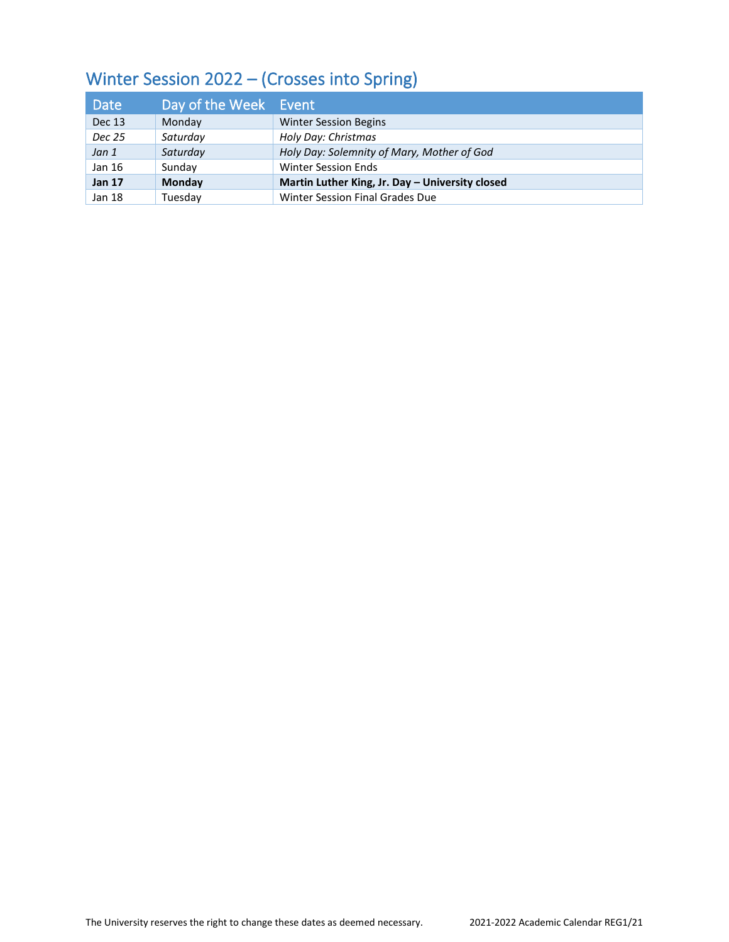## Winter Session 2022 – (Crosses into Spring)

| Date          | Day of the Week Event |                                                 |
|---------------|-----------------------|-------------------------------------------------|
| <b>Dec 13</b> | Monday                | <b>Winter Session Begins</b>                    |
| Dec 25        | Saturday              | Holy Day: Christmas                             |
| Jan 1         | Saturday              | Holy Day: Solemnity of Mary, Mother of God      |
| Jan 16        | Sunday                | <b>Winter Session Ends</b>                      |
| <b>Jan 17</b> | Monday                | Martin Luther King, Jr. Day - University closed |
| Jan 18        | Tuesday               | Winter Session Final Grades Due                 |